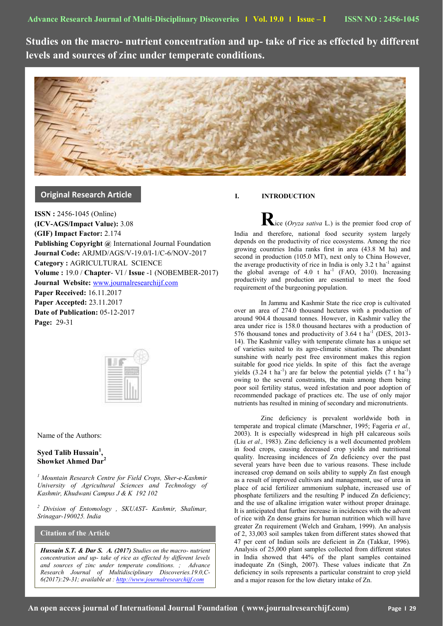**Studies on the macro- nutrient concentration and up- take of rice as effected by different levels and sources of zinc under temperate conditions.**



# **Original Research Article**

**ISSN :** 2456-1045 (Online) **(ICV-AGS/Impact Value):** 3.08 **(GIF) Impact Factor:** 2.174 **Publishing Copyright @** International Journal Foundation **Journal Code:** ARJMD/AGS/V-19.0/I-1/C-6/NOV-2017 **Category :** AGRICULTURAL SCIENCE **Volume :** 19.0 / **Chapter**- VI / **Issue** -1 (NOBEMBER-2017) **Journal Website:** [www.journalresearchijf.com](http://www.journalresearchijf.com/) **Paper Received:** 16.11.2017 **Paper Accepted:** 23.11.2017 **Date of Publication:** 05-12-2017 **Page:** 29-31

Name of the Authors:

## **Syed Talib Hussain<sup>1</sup> , Showket Ahmed Dar<sup>2</sup>**

*<sup>1</sup> Mountain Research Centre for Field Crops, Sher-e-Kashmir University of Agricultural Sciences and Technology of Kashmir, Khudwani Campus J & K 192 102*

*<sup>2</sup> Division of Entomology , SKUAST- Kashmir, Shalimar, Srinagar-190025. India*

**Citation of the Article**

**e;**

*Hussain S.T. & Dar S. A. (2017) Studies on the macro- nutrient concentration and up- take of rice as effected by different levels and sources of zinc under temperate conditions. ; Advance Research Journal of Multidisciplinary Discoveries.19.0,C-6(2017):29-31; available at [: http://www.journalresearchijf.com](http://www.journalresearchijf.com/)*

## **I. INTRODUCTION**

**R**ice (*Oryza sativa* L.) is the premier food crop of India and therefore, national food security system largely depends on the productivity of rice ecosystems. Among the rice growing countries India ranks first in area (43.8 M ha) and second in production (105.0 MT), next only to China However, the average productivity of rice in India is only  $3.2$  t ha<sup>-1</sup> against the global average of  $4.0$  t ha<sup>1</sup> (FAO, 2010). Increasing productivity and production are essential to meet the food requirement of the burgeoning population.

In Jammu and Kashmir State the rice crop is cultivated over an area of 274.0 thousand hectares with a production of around 904.4 thousand tonnes. However, in Kashmir valley the area under rice is 158.0 thousand hectares with a production of 576 thousand tones and productivity of 3.64 t ha<sup>-1</sup> (DES, 2013-14). The Kashmir valley with temperate climate has a unique set of varieties suited to its agro-climatic situation. The abundant sunshine with nearly pest free environment makes this region suitable for good rice yields. In spite of this fact the average yields  $(3.24 \text{ t} \text{ ha}^{-1})$  are far below the potential yields  $(7 \text{ t} \text{ ha}^{-1})$ owing to the several constraints, the main among them being poor soil fertility status, weed infestation and poor adoption of recommended package of practices etc. The use of only major nutrients has resulted in mining of secondary and micronutrients.

Zinc deficiency is prevalent worldwide both in temperate and tropical climate (Marschner, 1995; Fageria *et al.,* 2003). It is especially widespread in high pH calcareous soils (Liu *et al.,* 1983). Zinc deficiency is a well documented problem in food crops, causing decreased crop yields and nutritional quality. Increasing incidences of Zn deficiency over the past several years have been due to various reasons. These include increased crop demand on soils ability to supply Zn fast enough as a result of improved cultivars and management, use of urea in place of acid fertilizer ammonium sulphate, increased use of phosphate fertilizers and the resulting P induced Zn deficiency; and the use of alkaline irrigation water without proper drainage. It is anticipated that further increase in incidences with the advent of rice with Zn dense grains for human nutrition which will have greater Zn requirement (Welch and Graham, 1999). An analysis of 2, 33,003 soil samples taken from different states showed that 47 per cent of Indian soils are deficient in Zn (Takkar, 1996). Analysis of 25,000 plant samples collected from different states in India showed that 44% of the plant samples contained inadequate Zn (Singh, 2007). These values indicate that Zn deficiency in soils represents a particular constraint to crop yield and a major reason for the low dietary intake of Zn.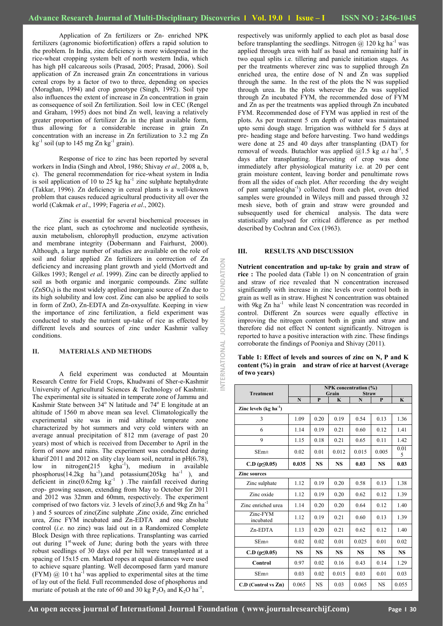Application of Zn fertilizers or Zn- enriched NPK fertilizers (agronomic biofortification) offers a rapid solution to the problem. In India, zinc deficiency is more widespread in the rice-wheat cropping system belt of north western India, which has high pH calcareous soils (Prasad, 2005; Prasad, 2006). Soil application of Zn increased grain Zn concentrations in various cereal crops by a factor of two to three, depending on species (Moraghan, 1994) and crop genotype (Singh, 1992). Soil type also influences the extent of increase in Zn concentration in grain as consequence of soil Zn fertilization. Soil low in CEC (Rengel and Graham, 1995) does not bind Zn well, leaving a relatively greater proportion of fertilizer Zn in the plant available form, thus allowing for a considerable increase in grain Zn concentration with an increase in Zn fertilization to 3.2 mg Zn  $kg^{-1}$  soil (up to 145 mg Zn  $kg^{-1}$  grain).

Response of rice to zinc has been reported by several workers in India (Singh and Abrol, 1986; Shivay *et al.,* 2008 a, b, c). The general recommendation for rice-wheat system in India is soil application of 10 to 25  $kg$  ha<sup>-1</sup> zinc sulphate heptahydrate (Takkar, 1996). Zn deficiency in cereal plants is a well-known problem that causes reduced agricultural productivity all over the world (Cakmak *et al*., 1999; Fageria *et al*., 2002).

Zinc is essential for several biochemical processes in the rice plant, such as cytochrome and nucleotide synthesis, auxin metabolism, chlorophyll production, enzyme activation and membrane integrity (Dobermann and Fairhurst, 2000). Although, a large number of studies are available on the role of soil and foliar applied Zn fertilizers in corrrection of Zn deficiency and increasing plant growth and yield (Mortvedt and Gilkes 1993; Rengel *et al*. 1999). Zinc can be directly applied to soil as both organic and inorganic compounds. Zinc sulfate  $(ZnSO<sub>4</sub>)$  is the most widely applied inorganic source of Zn due to its high solubility and low cost. Zinc can also be applied to soils in form of ZnO, Zn-EDTA and Zn-oxysulfate. Keeping in view the importance of zinc fertilization, a field experiment was conducted to study the nutrient up-take of rice as effected by different levels and sources of zinc under Kashmir valley conditions.

## **II. MATERIALS AND METHODS**

A field experiment was conducted at Mountain Research Centre for Field Crops, Khudwani of Sher-e-Kashmir University of Agricultural Sciences & Technology of Kashmir. The experimental site is situated in temperate zone of Jammu and Kashmir State between  $34^{\circ}$  N latitude and  $74^{\circ}$  E longitude at an altitude of 1560 m above mean sea level. Climatologically the experimental site was in mid altitude temperate zone characterized by hot summers and very cold winters with an average annual precipitation of 812 mm (average of past 20 years) most of which is received from December to April in the form of snow and rains. The experiment was conducted during kharif 2011 and 2012 on slity clay loam soil, neutral in pH(6.78), low in nitrogen(215 kgha<sup>-1</sup>), medium in available phosphorus( $14.2\text{kg}$  ha<sup>-1</sup>), and potassium( $205\text{kg}$  ha<sup>-1</sup>), and deficient in  $zinc(0.62mg \text{ kg}^{-1})$ . The rainfall received during crop- growing season, extending from May to October for 2011 and 2012 was 32mm and 60mm, respectively. The experiment comprised of two factors viz. 3 levels of zinc(3,6 and 9kg Zn ha-) and 5 sources of zinc(Zinc sulphate ,Zinc oxide, Zinc enriched urea, Zinc FYM incubated and Zn-EDTA and one absolute control (*i.e.* no zinc) was laid out in a Randomized Complete Block Design with three replications. Transplanting was carried out during 1<sup>st</sup> week of June; during both the years with three robust seedlings of 30 days old per hill were transplanted at a spacing of 15x15 cm. Marked ropes at equal distances were used to achieve square planting. Well decomposed farm yard manure (FYM)  $\omega$  10 t ha<sup>-1</sup> was applied to experimental sites at the time of lay out of the field. Full recommended dose of phosphorus and muriate of potash at the rate of 60 and 30 kg  $P_2O_5$  and  $K_2O$  ha<sup>-1</sup>,

respectively was uniformly applied to each plot as basal dose before transplanting the seedlings. Nitrogen  $\overline{a}$  120 kg ha<sup>-1</sup> was applied through urea with half as basal and remaining half in two equal splits i.e. tillering and panicle initiation stages. As per the treatments wherever zinc was to supplied through Zn enriched urea, the entire dose of N and Zn was supplied through the same. In the rest of the plots the N was supplied through urea. In the plots wherever the Zn was supplied through Zn incubated FYM, the recommended dose of FYM and Zn as per the treatments was applied through Zn incubated FYM. Recommended dose of FYM was applied in rest of the plots. As per treatment 5 cm depth of water was maintained upto semi dough stage. Irrigation was withheld for 5 days at pre- heading stage and before harvesting. Two hand weddings were done at 25 and 40 days after transplanting (DAT) for removal of weeds. Butachlor was applied  $@1.5$  kg  $a.i$  ha<sup>-1</sup>, 5 days after transplanting. Harvesting of crop was done immediately after physiological maturity i.e. at 20 per cent grain moisture content, leaving border and penultimate rows from all the sides of each plot. After recording the dry weight of pant samples(qha-1 ) collected from each plot, oven dried samples were grounded in Wileys mill and passed through 32 mesh sieve, both of grain and straw were grounded and subsequently used for chemical analysis. The data were statistically analysed for critical difference as per method described by Cochran and Cox (1963).

#### **III. RESULTS AND DISCUSSION**

**INTERNATIONAL JOURNAL FOUNDATION**

**JOURNAL** 

ERNATIONAL

FOUNDATION

**Nutrient concentration and up-take by grain and straw of rice :** The pooled data (Table 1) on N concentration of grain and straw of rice revealed that N concentration increased significantly with increase in zinc levels over control both in grain as well as in straw. Highest N concentration was obtained with 9kg Zn ha<sup>-1</sup> while least N concentration was recorded in control. Different Zn sources were equally effective in improving the nitrogen content both in grain and straw and therefore did not effect N content significantly. Nitrogen is reported to have a positive interaction with zinc. These findings corroborate the findings of Pooniya and Shivay (2011).

|                         |           | <b>NPK</b> concentration (%)<br>Grain<br><b>Straw</b> |           |           |           |           |
|-------------------------|-----------|-------------------------------------------------------|-----------|-----------|-----------|-----------|
| <b>Treatment</b>        | N         | P                                                     | K         | N         | P         | K         |
| Zinc levels $(kg ha-1)$ |           |                                                       |           |           |           |           |
| 3                       | 1.09      | 0.20                                                  | 0.19      | 0.54      | 0.13      | 1.36      |
| 6                       | 1.14      | 0.19                                                  | 0.21      | 0.60      | 0.12      | 1.41      |
| 9                       | 1.15      | 0.18                                                  | 0.21      | 0.65      | 0.11      | 1.42      |
| $SEm\pm$                | 0.02      | 0.01                                                  | 0.012     | 0.015     | 0.005     | 0.01<br>5 |
| $C.D$ ( $p \le 0.05$ )  | 0.035     | <b>NS</b>                                             | <b>NS</b> | 0.03      | <b>NS</b> | 0.03      |
| <b>Zinc sources</b>     |           |                                                       |           |           |           |           |
| Zinc sulphate           | 1.12      | 0.19                                                  | 0.20      | 0.58      | 0.13      | 1.38      |
| Zinc oxide              | 1.12      | 0.19                                                  | 0.20      | 0.62      | 0.12      | 1.39      |
| Zinc enriched urea      | 1.14      | 0.20                                                  | 0.20      | 0.64      | 0.12      | 1.40      |
| Zinc-FYM<br>incubated   | 1.12      | 0.19                                                  | 0.21      | 0.60      | 0.13      | 1.39      |
| Zn-EDTA                 | 1.13      | 0.20                                                  | 0.21      | 0.62      | 0.12      | 1.40      |
| $SEm\pm$                | 0.02      | 0.02                                                  | 0.01      | 0.025     | 0.01      | 0.02      |
| $C.D$ ( $p \le 0.05$ )  | <b>NS</b> | <b>NS</b>                                             | <b>NS</b> | <b>NS</b> | <b>NS</b> | <b>NS</b> |
| Control                 | 0.97      | 0.02                                                  | 0.16      | 0.43      | 0.14      | 1.29      |
| $SEm\pm$                | 0.03      | 0.02                                                  | 0.015     | 0.03      | 0.01      | 0.03      |
| C.D (Control vs Zn)     | 0.065     | <b>NS</b>                                             | 0.03      | 0.065     | <b>NS</b> | 0.055     |

## **Table 1: Effect of levels and sources of zinc on N, P and K content (%) in grain and straw of rice at harvest (Average of two years)**